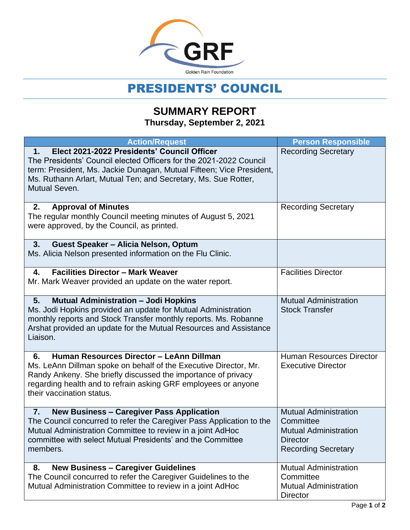

## PRESIDENTS' COUNCIL

## **SUMMARY REPORT Thursday, September 2, 2021**

| <b>Action/Request</b>                                                                                                                                                                                                                                                              | <b>Person Responsible</b>                                                                                                  |
|------------------------------------------------------------------------------------------------------------------------------------------------------------------------------------------------------------------------------------------------------------------------------------|----------------------------------------------------------------------------------------------------------------------------|
| Elect 2021-2022 Presidents' Council Officer<br>1.<br>The Presidents' Council elected Officers for the 2021-2022 Council<br>term: President, Ms. Jackie Dunagan, Mutual Fifteen; Vice President,<br>Ms. Ruthann Arlart, Mutual Ten; and Secretary, Ms. Sue Rotter,<br>Mutual Seven. | <b>Recording Secretary</b>                                                                                                 |
| <b>Approval of Minutes</b><br>2.<br>The regular monthly Council meeting minutes of August 5, 2021<br>were approved, by the Council, as printed.                                                                                                                                    | <b>Recording Secretary</b>                                                                                                 |
| Guest Speaker - Alicia Nelson, Optum<br>3.<br>Ms. Alicia Nelson presented information on the Flu Clinic.                                                                                                                                                                           |                                                                                                                            |
| <b>Facilities Director - Mark Weaver</b><br>4.<br>Mr. Mark Weaver provided an update on the water report.                                                                                                                                                                          | <b>Facilities Director</b>                                                                                                 |
| <b>Mutual Administration - Jodi Hopkins</b><br>5.<br>Ms. Jodi Hopkins provided an update for Mutual Administration<br>monthly reports and Stock Transfer monthly reports. Ms. Robanne<br>Arshat provided an update for the Mutual Resources and Assistance<br>Liaison.             | <b>Mutual Administration</b><br><b>Stock Transfer</b>                                                                      |
| Human Resources Director - LeAnn Dillman<br>6.<br>Ms. LeAnn Dillman spoke on behalf of the Executive Director, Mr.<br>Randy Ankeny. She briefly discussed the importance of privacy<br>regarding health and to refrain asking GRF employees or anyone<br>their vaccination status. | <b>Human Resources Director</b><br><b>Executive Director</b>                                                               |
| <b>New Business - Caregiver Pass Application</b><br>7.<br>The Council concurred to refer the Caregiver Pass Application to the<br>Mutual Administration Committee to review in a joint AdHoc<br>committee with select Mutual Presidents' and the Committee<br>members.             | <b>Mutual Administration</b><br>Committee<br><b>Mutual Administration</b><br><b>Director</b><br><b>Recording Secretary</b> |
| <b>New Business - Caregiver Guidelines</b><br>8.<br>The Council concurred to refer the Caregiver Guidelines to the<br>Mutual Administration Committee to review in a joint AdHoc                                                                                                   | <b>Mutual Administration</b><br>Committee<br><b>Mutual Administration</b><br><b>Director</b>                               |